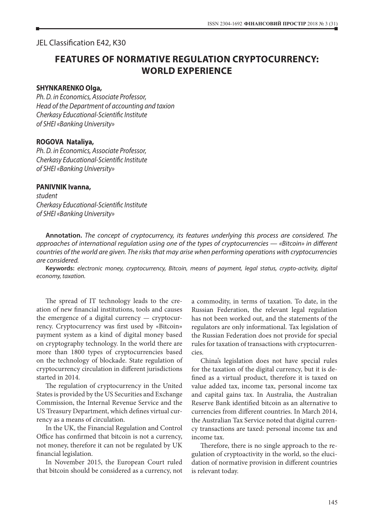# JEL Classification E42, K30

# **FEATURES OF NORMATIVE REGULATION CRYPTOCURRENCY: WORLD EXPERIENCE**

#### **SHYNKARENKO Оlga,**

*Ph. D. in Economics, Associate Professor, Head of the Department of accounting and taxion Cherkasy Educational-Scientific Institute of SHEI «Banking University»*

### **ROGOVA Nataliya,**

*Ph. D. in Economics, Associate Professor, Cherkasy Educational-Scientific Institute of SHEI «Banking University»*

#### **PANIVNIK Іvanna,**

*student Cherkasy Educational-Scientific Institute of SHEI «Banking University»*

**Annotation.** *The concept of cryptocurrency, its features underlying this process are considered. The approaches of international regulation using one of the types of cryptocurrencies — «Bitcoin» in different countries of the world are given. The risks that may arise when performing operations with cryptocurrencies are considered.*

**Keywords:** *electronic money, cryptocurrency, Bitcoin, means of payment, legal status, crypto-activity, digital economy, taxation.*

The spread of IT technology leads to the creation of new financial institutions, tools and causes the emergence of a digital currency — cryptocurrency. Cryptocurrency was first used by «Bitcoin» payment system as a kind of digital money based on cryptography technology. In the world there are more than 1800 types of cryptocurrencies based on the technology of blockade. State regulation of cryptocurrency circulation in different jurisdictions started in 2014.

The regulation of cryptocurrency in the United States is provided by the US Securities and Exchange Commission, the Internal Revenue Service and the US Treasury Department, which defines virtual currency as a means of circulation.

In the UK, the Financial Regulation and Control Office has confirmed that bitcoin is not a currency, not money, therefore it can not be regulated by UK financial legislation.

In November 2015, the European Court ruled that bitcoin should be considered as a currency, not a commodity, in terms of taxation. To date, in the Russian Federation, the relevant legal regulation has not been worked out, and the statements of the regulators are only informational. Tax legislation of the Russian Federation does not provide for special rules for taxation of transactions with cryptocurrencies.

China's legislation does not have special rules for the taxation of the digital currency, but it is defined as a virtual product, therefore it is taxed on value added tax, income tax, personal income tax and capital gains tax. In Australia, the Australian Reserve Bank identified bitcoin as an alternative to currencies from different countries. In March 2014, the Australian Tax Service noted that digital currency transactions are taxed: personal income tax and income tax.

Therefore, there is no single approach to the regulation of cryptoactivity in the world, so the elucidation of normative provision in different countries is relevant today.